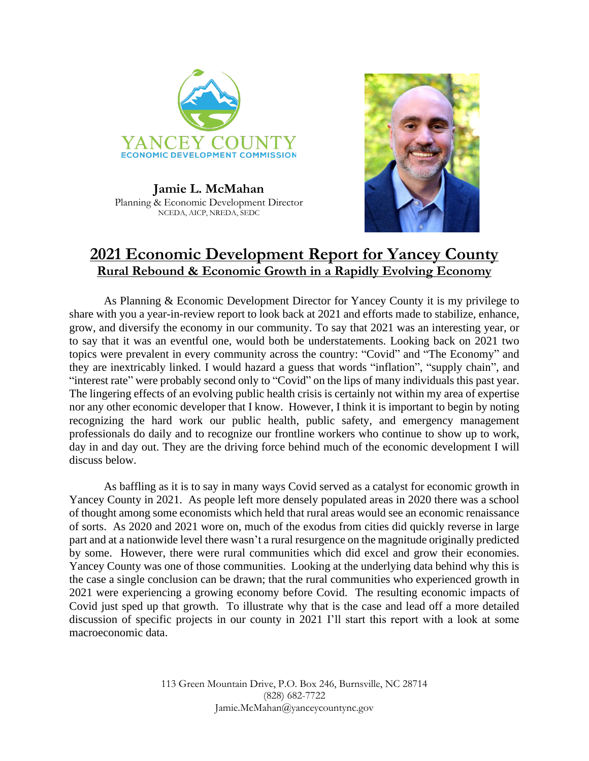

**Jamie L. McMahan** Planning & Economic Development Director NCEDA, AICP, NREDA, SEDC



# **2021 Economic Development Report for Yancey County Rural Rebound & Economic Growth in a Rapidly Evolving Economy**

As Planning & Economic Development Director for Yancey County it is my privilege to share with you a year-in-review report to look back at 2021 and efforts made to stabilize, enhance, grow, and diversify the economy in our community. To say that 2021 was an interesting year, or to say that it was an eventful one, would both be understatements. Looking back on 2021 two topics were prevalent in every community across the country: "Covid" and "The Economy" and they are inextricably linked. I would hazard a guess that words "inflation", "supply chain", and "interest rate" were probably second only to "Covid" on the lips of many individuals this past year. The lingering effects of an evolving public health crisis is certainly not within my area of expertise nor any other economic developer that I know. However, I think it is important to begin by noting recognizing the hard work our public health, public safety, and emergency management professionals do daily and to recognize our frontline workers who continue to show up to work, day in and day out. They are the driving force behind much of the economic development I will discuss below.

As baffling as it is to say in many ways Covid served as a catalyst for economic growth in Yancey County in 2021. As people left more densely populated areas in 2020 there was a school of thought among some economists which held that rural areas would see an economic renaissance of sorts. As 2020 and 2021 wore on, much of the exodus from cities did quickly reverse in large part and at a nationwide level there wasn't a rural resurgence on the magnitude originally predicted by some. However, there were rural communities which did excel and grow their economies. Yancey County was one of those communities. Looking at the underlying data behind why this is the case a single conclusion can be drawn; that the rural communities who experienced growth in 2021 were experiencing a growing economy before Covid. The resulting economic impacts of Covid just sped up that growth. To illustrate why that is the case and lead off a more detailed discussion of specific projects in our county in 2021 I'll start this report with a look at some macroeconomic data.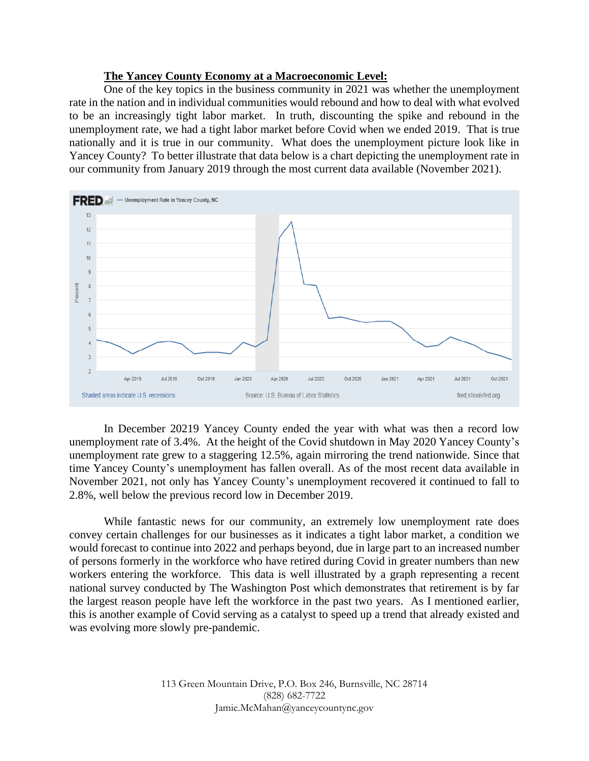# **The Yancey County Economy at a Macroeconomic Level:**

One of the key topics in the business community in 2021 was whether the unemployment rate in the nation and in individual communities would rebound and how to deal with what evolved to be an increasingly tight labor market. In truth, discounting the spike and rebound in the unemployment rate, we had a tight labor market before Covid when we ended 2019. That is true nationally and it is true in our community. What does the unemployment picture look like in Yancey County? To better illustrate that data below is a chart depicting the unemployment rate in our community from January 2019 through the most current data available (November 2021).



In December 20219 Yancey County ended the year with what was then a record low unemployment rate of 3.4%. At the height of the Covid shutdown in May 2020 Yancey County's unemployment rate grew to a staggering 12.5%, again mirroring the trend nationwide. Since that time Yancey County's unemployment has fallen overall. As of the most recent data available in November 2021, not only has Yancey County's unemployment recovered it continued to fall to 2.8%, well below the previous record low in December 2019.

While fantastic news for our community, an extremely low unemployment rate does convey certain challenges for our businesses as it indicates a tight labor market, a condition we would forecast to continue into 2022 and perhaps beyond, due in large part to an increased number of persons formerly in the workforce who have retired during Covid in greater numbers than new workers entering the workforce. This data is well illustrated by a graph representing a recent national survey conducted by The Washington Post which demonstrates that retirement is by far the largest reason people have left the workforce in the past two years. As I mentioned earlier, this is another example of Covid serving as a catalyst to speed up a trend that already existed and was evolving more slowly pre-pandemic.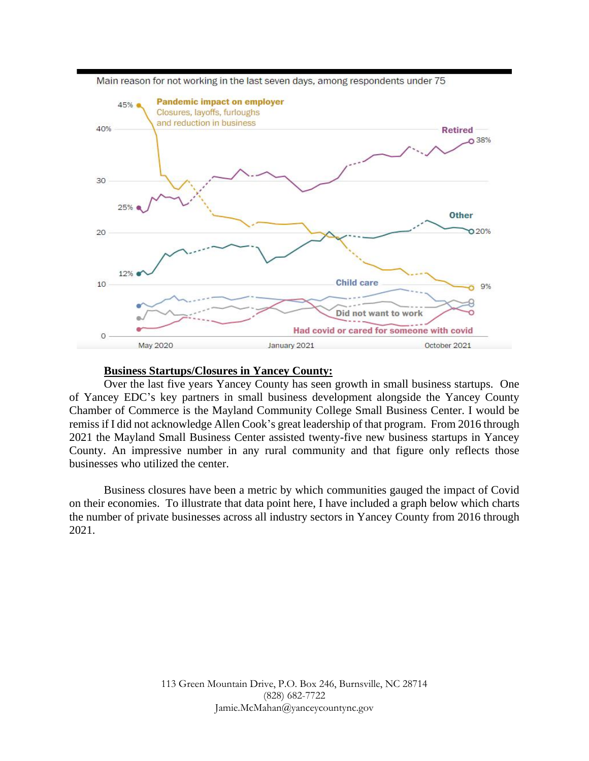

Main reason for not working in the last seven days, among respondents under 75

#### **Business Startups/Closures in Yancey County:**

Over the last five years Yancey County has seen growth in small business startups. One of Yancey EDC's key partners in small business development alongside the Yancey County Chamber of Commerce is the Mayland Community College Small Business Center. I would be remiss if I did not acknowledge Allen Cook's great leadership of that program. From 2016 through 2021 the Mayland Small Business Center assisted twenty-five new business startups in Yancey County. An impressive number in any rural community and that figure only reflects those businesses who utilized the center.

Business closures have been a metric by which communities gauged the impact of Covid on their economies. To illustrate that data point here, I have included a graph below which charts the number of private businesses across all industry sectors in Yancey County from 2016 through 2021.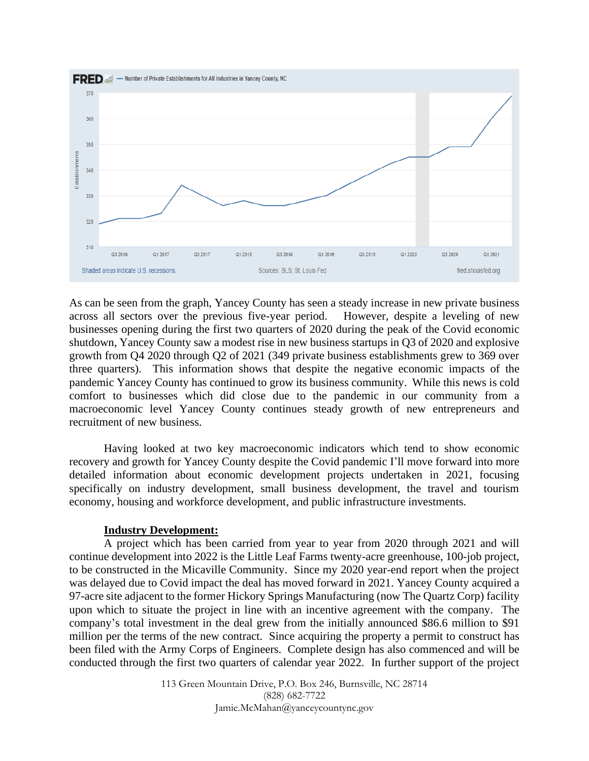

As can be seen from the graph, Yancey County has seen a steady increase in new private business across all sectors over the previous five-year period. However, despite a leveling of new businesses opening during the first two quarters of 2020 during the peak of the Covid economic shutdown, Yancey County saw a modest rise in new business startups in Q3 of 2020 and explosive growth from Q4 2020 through Q2 of 2021 (349 private business establishments grew to 369 over three quarters). This information shows that despite the negative economic impacts of the pandemic Yancey County has continued to grow its business community. While this news is cold comfort to businesses which did close due to the pandemic in our community from a macroeconomic level Yancey County continues steady growth of new entrepreneurs and recruitment of new business.

Having looked at two key macroeconomic indicators which tend to show economic recovery and growth for Yancey County despite the Covid pandemic I'll move forward into more detailed information about economic development projects undertaken in 2021, focusing specifically on industry development, small business development, the travel and tourism economy, housing and workforce development, and public infrastructure investments.

### **Industry Development:**

A project which has been carried from year to year from 2020 through 2021 and will continue development into 2022 is the Little Leaf Farms twenty-acre greenhouse, 100-job project, to be constructed in the Micaville Community. Since my 2020 year-end report when the project was delayed due to Covid impact the deal has moved forward in 2021. Yancey County acquired a 97-acre site adjacent to the former Hickory Springs Manufacturing (now The Quartz Corp) facility upon which to situate the project in line with an incentive agreement with the company. The company's total investment in the deal grew from the initially announced \$86.6 million to \$91 million per the terms of the new contract. Since acquiring the property a permit to construct has been filed with the Army Corps of Engineers. Complete design has also commenced and will be conducted through the first two quarters of calendar year 2022. In further support of the project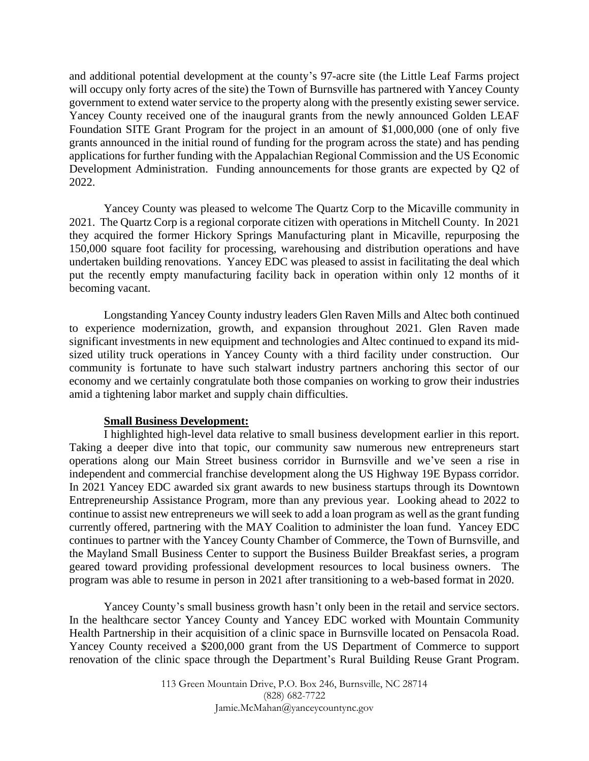and additional potential development at the county's 97-acre site (the Little Leaf Farms project will occupy only forty acres of the site) the Town of Burnsville has partnered with Yancey County government to extend water service to the property along with the presently existing sewer service. Yancey County received one of the inaugural grants from the newly announced Golden LEAF Foundation SITE Grant Program for the project in an amount of \$1,000,000 (one of only five grants announced in the initial round of funding for the program across the state) and has pending applications for further funding with the Appalachian Regional Commission and the US Economic Development Administration. Funding announcements for those grants are expected by Q2 of 2022.

Yancey County was pleased to welcome The Quartz Corp to the Micaville community in 2021. The Quartz Corp is a regional corporate citizen with operations in Mitchell County. In 2021 they acquired the former Hickory Springs Manufacturing plant in Micaville, repurposing the 150,000 square foot facility for processing, warehousing and distribution operations and have undertaken building renovations. Yancey EDC was pleased to assist in facilitating the deal which put the recently empty manufacturing facility back in operation within only 12 months of it becoming vacant.

Longstanding Yancey County industry leaders Glen Raven Mills and Altec both continued to experience modernization, growth, and expansion throughout 2021. Glen Raven made significant investments in new equipment and technologies and Altec continued to expand its midsized utility truck operations in Yancey County with a third facility under construction. Our community is fortunate to have such stalwart industry partners anchoring this sector of our economy and we certainly congratulate both those companies on working to grow their industries amid a tightening labor market and supply chain difficulties.

### **Small Business Development:**

I highlighted high-level data relative to small business development earlier in this report. Taking a deeper dive into that topic, our community saw numerous new entrepreneurs start operations along our Main Street business corridor in Burnsville and we've seen a rise in independent and commercial franchise development along the US Highway 19E Bypass corridor. In 2021 Yancey EDC awarded six grant awards to new business startups through its Downtown Entrepreneurship Assistance Program, more than any previous year. Looking ahead to 2022 to continue to assist new entrepreneurs we will seek to add a loan program as well as the grant funding currently offered, partnering with the MAY Coalition to administer the loan fund. Yancey EDC continues to partner with the Yancey County Chamber of Commerce, the Town of Burnsville, and the Mayland Small Business Center to support the Business Builder Breakfast series, a program geared toward providing professional development resources to local business owners. The program was able to resume in person in 2021 after transitioning to a web-based format in 2020.

Yancey County's small business growth hasn't only been in the retail and service sectors. In the healthcare sector Yancey County and Yancey EDC worked with Mountain Community Health Partnership in their acquisition of a clinic space in Burnsville located on Pensacola Road. Yancey County received a \$200,000 grant from the US Department of Commerce to support renovation of the clinic space through the Department's Rural Building Reuse Grant Program.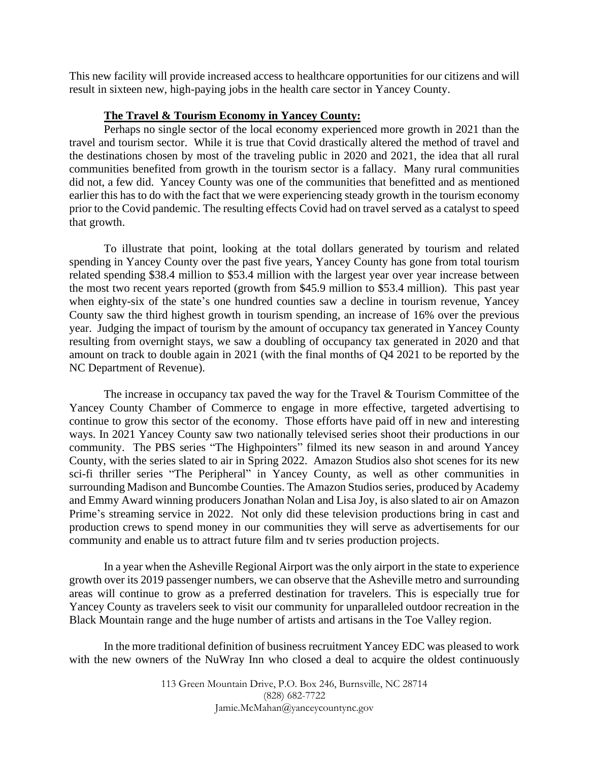This new facility will provide increased access to healthcare opportunities for our citizens and will result in sixteen new, high-paying jobs in the health care sector in Yancey County.

### **The Travel & Tourism Economy in Yancey County:**

Perhaps no single sector of the local economy experienced more growth in 2021 than the travel and tourism sector. While it is true that Covid drastically altered the method of travel and the destinations chosen by most of the traveling public in 2020 and 2021, the idea that all rural communities benefited from growth in the tourism sector is a fallacy. Many rural communities did not, a few did. Yancey County was one of the communities that benefitted and as mentioned earlier this has to do with the fact that we were experiencing steady growth in the tourism economy prior to the Covid pandemic. The resulting effects Covid had on travel served as a catalyst to speed that growth.

To illustrate that point, looking at the total dollars generated by tourism and related spending in Yancey County over the past five years, Yancey County has gone from total tourism related spending \$38.4 million to \$53.4 million with the largest year over year increase between the most two recent years reported (growth from \$45.9 million to \$53.4 million). This past year when eighty-six of the state's one hundred counties saw a decline in tourism revenue, Yancey County saw the third highest growth in tourism spending, an increase of 16% over the previous year. Judging the impact of tourism by the amount of occupancy tax generated in Yancey County resulting from overnight stays, we saw a doubling of occupancy tax generated in 2020 and that amount on track to double again in 2021 (with the final months of Q4 2021 to be reported by the NC Department of Revenue).

The increase in occupancy tax paved the way for the Travel & Tourism Committee of the Yancey County Chamber of Commerce to engage in more effective, targeted advertising to continue to grow this sector of the economy. Those efforts have paid off in new and interesting ways. In 2021 Yancey County saw two nationally televised series shoot their productions in our community. The PBS series "The Highpointers" filmed its new season in and around Yancey County, with the series slated to air in Spring 2022. Amazon Studios also shot scenes for its new sci-fi thriller series "The Peripheral" in Yancey County, as well as other communities in surrounding Madison and Buncombe Counties. The Amazon Studios series, produced by Academy and Emmy Award winning producers Jonathan Nolan and Lisa Joy, is also slated to air on Amazon Prime's streaming service in 2022. Not only did these television productions bring in cast and production crews to spend money in our communities they will serve as advertisements for our community and enable us to attract future film and tv series production projects.

In a year when the Asheville Regional Airport was the only airport in the state to experience growth over its 2019 passenger numbers, we can observe that the Asheville metro and surrounding areas will continue to grow as a preferred destination for travelers. This is especially true for Yancey County as travelers seek to visit our community for unparalleled outdoor recreation in the Black Mountain range and the huge number of artists and artisans in the Toe Valley region.

In the more traditional definition of business recruitment Yancey EDC was pleased to work with the new owners of the NuWray Inn who closed a deal to acquire the oldest continuously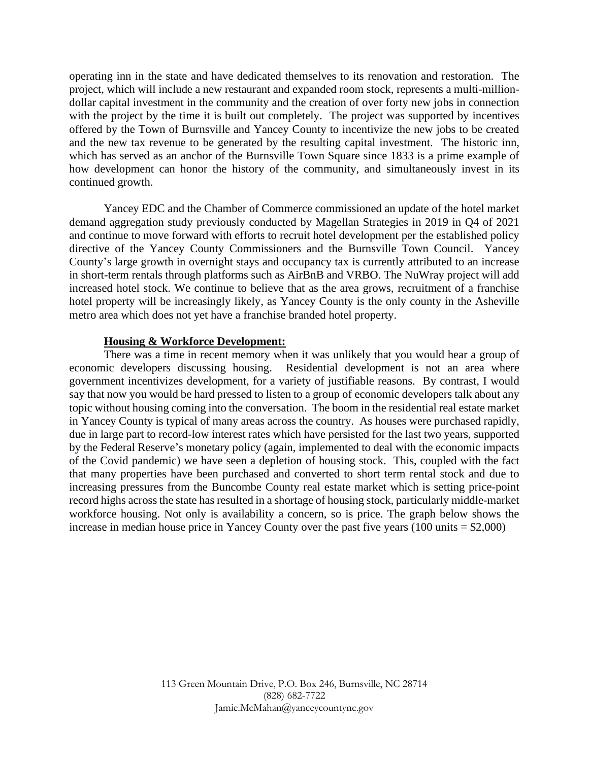operating inn in the state and have dedicated themselves to its renovation and restoration. The project, which will include a new restaurant and expanded room stock, represents a multi-milliondollar capital investment in the community and the creation of over forty new jobs in connection with the project by the time it is built out completely. The project was supported by incentives offered by the Town of Burnsville and Yancey County to incentivize the new jobs to be created and the new tax revenue to be generated by the resulting capital investment. The historic inn, which has served as an anchor of the Burnsville Town Square since 1833 is a prime example of how development can honor the history of the community, and simultaneously invest in its continued growth.

Yancey EDC and the Chamber of Commerce commissioned an update of the hotel market demand aggregation study previously conducted by Magellan Strategies in 2019 in Q4 of 2021 and continue to move forward with efforts to recruit hotel development per the established policy directive of the Yancey County Commissioners and the Burnsville Town Council. Yancey County's large growth in overnight stays and occupancy tax is currently attributed to an increase in short-term rentals through platforms such as AirBnB and VRBO. The NuWray project will add increased hotel stock. We continue to believe that as the area grows, recruitment of a franchise hotel property will be increasingly likely, as Yancey County is the only county in the Asheville metro area which does not yet have a franchise branded hotel property.

### **Housing & Workforce Development:**

There was a time in recent memory when it was unlikely that you would hear a group of economic developers discussing housing. Residential development is not an area where government incentivizes development, for a variety of justifiable reasons. By contrast, I would say that now you would be hard pressed to listen to a group of economic developers talk about any topic without housing coming into the conversation. The boom in the residential real estate market in Yancey County is typical of many areas across the country. As houses were purchased rapidly, due in large part to record-low interest rates which have persisted for the last two years, supported by the Federal Reserve's monetary policy (again, implemented to deal with the economic impacts of the Covid pandemic) we have seen a depletion of housing stock. This, coupled with the fact that many properties have been purchased and converted to short term rental stock and due to increasing pressures from the Buncombe County real estate market which is setting price-point record highs across the state has resulted in a shortage of housing stock, particularly middle-market workforce housing. Not only is availability a concern, so is price. The graph below shows the increase in median house price in Yancey County over the past five years  $(100 \text{ units} = $2,000)$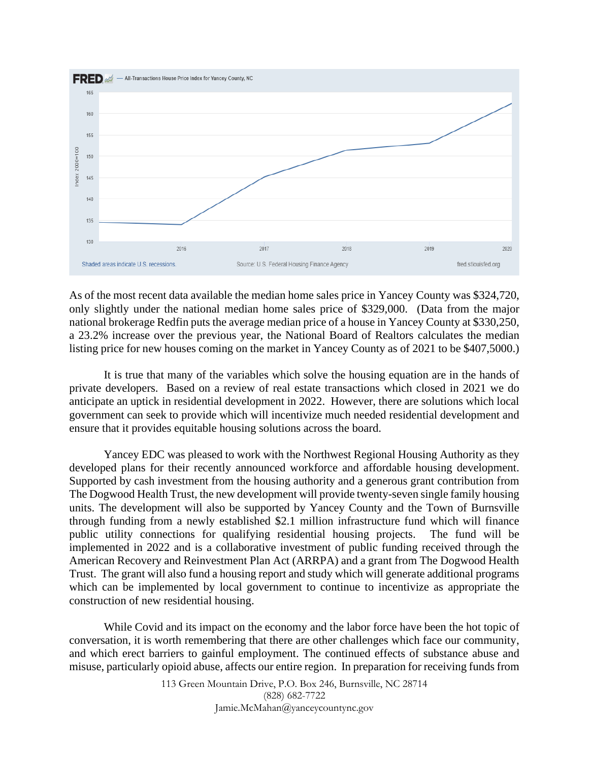

As of the most recent data available the median home sales price in Yancey County was \$324,720, only slightly under the national median home sales price of \$329,000. (Data from the major national brokerage Redfin puts the average median price of a house in Yancey County at \$330,250, a 23.2% increase over the previous year, the National Board of Realtors calculates the median listing price for new houses coming on the market in Yancey County as of 2021 to be \$407,5000.)

It is true that many of the variables which solve the housing equation are in the hands of private developers. Based on a review of real estate transactions which closed in 2021 we do anticipate an uptick in residential development in 2022. However, there are solutions which local government can seek to provide which will incentivize much needed residential development and ensure that it provides equitable housing solutions across the board.

Yancey EDC was pleased to work with the Northwest Regional Housing Authority as they developed plans for their recently announced workforce and affordable housing development. Supported by cash investment from the housing authority and a generous grant contribution from The Dogwood Health Trust, the new development will provide twenty-seven single family housing units. The development will also be supported by Yancey County and the Town of Burnsville through funding from a newly established \$2.1 million infrastructure fund which will finance public utility connections for qualifying residential housing projects. The fund will be implemented in 2022 and is a collaborative investment of public funding received through the American Recovery and Reinvestment Plan Act (ARRPA) and a grant from The Dogwood Health Trust. The grant will also fund a housing report and study which will generate additional programs which can be implemented by local government to continue to incentivize as appropriate the construction of new residential housing.

While Covid and its impact on the economy and the labor force have been the hot topic of conversation, it is worth remembering that there are other challenges which face our community, and which erect barriers to gainful employment. The continued effects of substance abuse and misuse, particularly opioid abuse, affects our entire region. In preparation for receiving funds from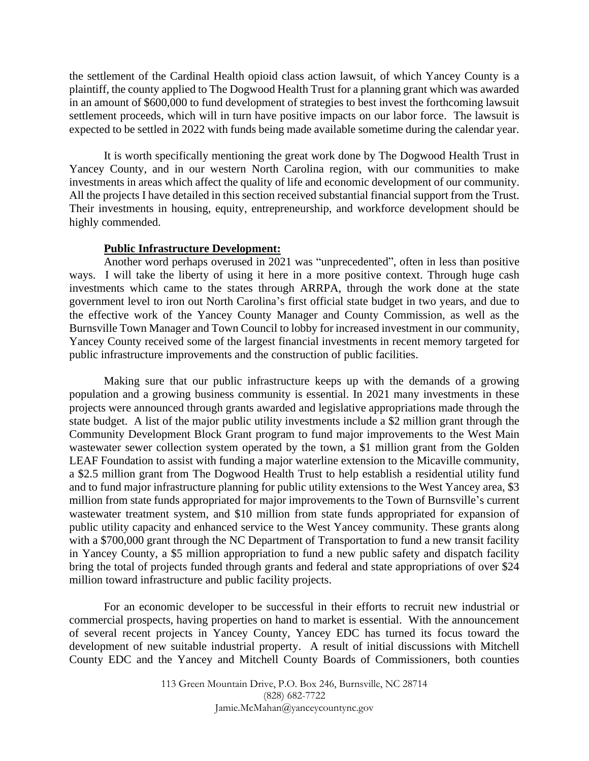the settlement of the Cardinal Health opioid class action lawsuit, of which Yancey County is a plaintiff, the county applied to The Dogwood Health Trust for a planning grant which was awarded in an amount of \$600,000 to fund development of strategies to best invest the forthcoming lawsuit settlement proceeds, which will in turn have positive impacts on our labor force. The lawsuit is expected to be settled in 2022 with funds being made available sometime during the calendar year.

It is worth specifically mentioning the great work done by The Dogwood Health Trust in Yancey County, and in our western North Carolina region, with our communities to make investments in areas which affect the quality of life and economic development of our community. All the projects I have detailed in this section received substantial financial support from the Trust. Their investments in housing, equity, entrepreneurship, and workforce development should be highly commended.

### **Public Infrastructure Development:**

Another word perhaps overused in 2021 was "unprecedented", often in less than positive ways. I will take the liberty of using it here in a more positive context. Through huge cash investments which came to the states through ARRPA, through the work done at the state government level to iron out North Carolina's first official state budget in two years, and due to the effective work of the Yancey County Manager and County Commission, as well as the Burnsville Town Manager and Town Council to lobby for increased investment in our community, Yancey County received some of the largest financial investments in recent memory targeted for public infrastructure improvements and the construction of public facilities.

Making sure that our public infrastructure keeps up with the demands of a growing population and a growing business community is essential. In 2021 many investments in these projects were announced through grants awarded and legislative appropriations made through the state budget. A list of the major public utility investments include a \$2 million grant through the Community Development Block Grant program to fund major improvements to the West Main wastewater sewer collection system operated by the town, a \$1 million grant from the Golden LEAF Foundation to assist with funding a major waterline extension to the Micaville community, a \$2.5 million grant from The Dogwood Health Trust to help establish a residential utility fund and to fund major infrastructure planning for public utility extensions to the West Yancey area, \$3 million from state funds appropriated for major improvements to the Town of Burnsville's current wastewater treatment system, and \$10 million from state funds appropriated for expansion of public utility capacity and enhanced service to the West Yancey community. These grants along with a \$700,000 grant through the NC Department of Transportation to fund a new transit facility in Yancey County, a \$5 million appropriation to fund a new public safety and dispatch facility bring the total of projects funded through grants and federal and state appropriations of over \$24 million toward infrastructure and public facility projects.

For an economic developer to be successful in their efforts to recruit new industrial or commercial prospects, having properties on hand to market is essential. With the announcement of several recent projects in Yancey County, Yancey EDC has turned its focus toward the development of new suitable industrial property. A result of initial discussions with Mitchell County EDC and the Yancey and Mitchell County Boards of Commissioners, both counties